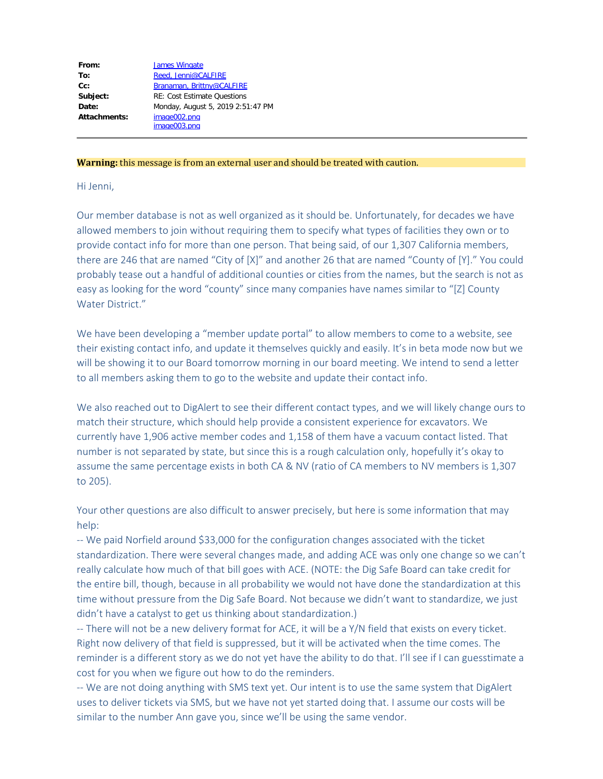| From:        | <b>James Wingate</b>               |
|--------------|------------------------------------|
| To:          | Reed, Jenni@CALFIRE                |
| $Cc$ :       | Branaman, Brittny@CALFIRE          |
| Subject:     | <b>RE: Cost Estimate Ouestions</b> |
| Date:        | Monday, August 5, 2019 2:51:47 PM  |
| Attachments: | image002.png<br>image003.png       |
|              |                                    |

## **Warning:** this message is from an external user and should be treated with caution.

## Hi Jenni,

Our member database is not as well organized as it should be. Unfortunately, for decades we have allowed members to join without requiring them to specify what types of facilities they own or to provide contact info for more than one person. That being said, of our 1,307 California members, there are 246 that are named "City of [X]" and another 26 that are named "County of [Y]." You could probably tease out a handful of additional counties or cities from the names, but the search is not as easy as looking for the word "county" since many companies have names similar to "[Z] County Water District."

We have been developing a "member update portal" to allow members to come to a website, see their existing contact info, and update it themselves quickly and easily. It's in beta mode now but we will be showing it to our Board tomorrow morning in our board meeting. We intend to send a letter to all members asking them to go to the website and update their contact info.

We also reached out to DigAlert to see their different contact types, and we will likely change ours to match their structure, which should help provide a consistent experience for excavators. We currently have 1,906 active member codes and 1,158 of them have a vacuum contact listed. That number is not separated by state, but since this is a rough calculation only, hopefully it's okay to assume the same percentage exists in both CA & NV (ratio of CA members to NV members is 1,307 to 205).

Your other questions are also difficult to answer precisely, but here is some information that may help:

-- We paid Norfield around \$33,000 for the configuration changes associated with the ticket standardization. There were several changes made, and adding ACE was only one change so we can't really calculate how much of that bill goes with ACE. (NOTE: the Dig Safe Board can take credit for the entire bill, though, because in all probability we would not have done the standardization at this time without pressure from the Dig Safe Board. Not because we didn't want to standardize, we just didn't have a catalyst to get us thinking about standardization.)

-- There will not be a new delivery format for ACE, it will be a Y/N field that exists on every ticket. Right now delivery of that field is suppressed, but it will be activated when the time comes. The reminder is a different story as we do not yet have the ability to do that. I'll see if I can guesstimate a cost for you when we figure out how to do the reminders.

-- We are not doing anything with SMS text yet. Our intent is to use the same system that DigAlert uses to deliver tickets via SMS, but we have not yet started doing that. I assume our costs will be similar to the number Ann gave you, since we'll be using the same vendor.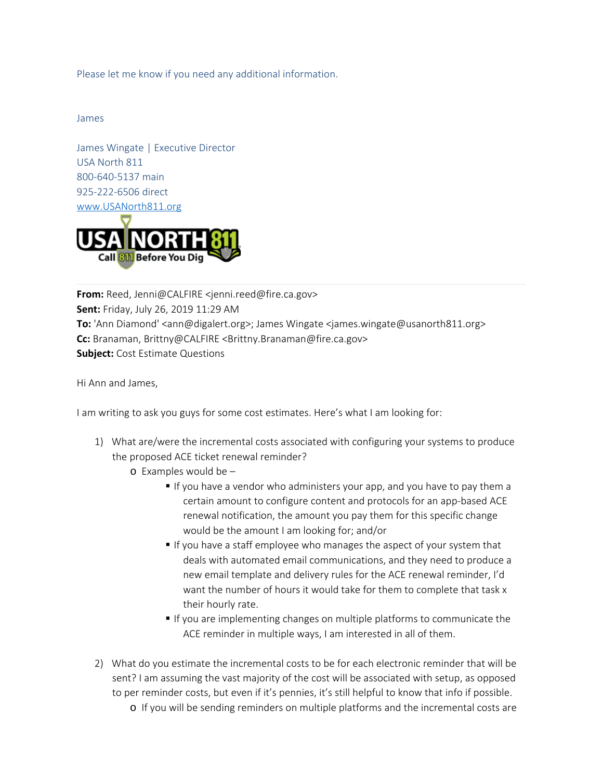Please let me know if you need any additional information.

James

James Wingate | Executive Director USA North 811 800-640-5137 main 925-222-6506 direct [www.USANorth811.org](https://gcc01.safelinks.protection.outlook.com/?url=http%3A%2F%2Fwww.usanorth811.org%2F&data=02%7C01%7Cjenni.reed%40fire.ca.gov%7C98dd4575e604405889a908d719ef1a8b%7C447a4ca05405454dad68c98a520261f8%7C1%7C0%7C637006387062794820&sdata=5CWj2v9uCTJuMlrAUJPzJYoraeKRp78KZdR1sPPmjKI%3D&reserved=0)



**From:** Reed, Jenni@CALFIRE <jenni.reed@fire.ca.gov> **Sent:** Friday, July 26, 2019 11:29 AM **To:** 'Ann Diamond' <ann@digalert.org>; James Wingate <james.wingate@usanorth811.org> **Cc:** Branaman, Brittny@CALFIRE <Brittny.Branaman@fire.ca.gov> **Subject:** Cost Estimate Questions

Hi Ann and James,

I am writing to ask you guys for some cost estimates. Here's what I am looking for:

- 1) What are/were the incremental costs associated with configuring your systems to produce the proposed ACE ticket renewal reminder?
	- o Examples would be
		- If you have a vendor who administers your app, and you have to pay them a certain amount to configure content and protocols for an app-based ACE renewal notification, the amount you pay them for this specific change would be the amount I am looking for; and/or
		- If you have a staff employee who manages the aspect of your system that deals with automated email communications, and they need to produce a new email template and delivery rules for the ACE renewal reminder, I'd want the number of hours it would take for them to complete that task x their hourly rate.
		- If you are implementing changes on multiple platforms to communicate the ACE reminder in multiple ways, I am interested in all of them.
- 2) What do you estimate the incremental costs to be for each electronic reminder that will be sent? I am assuming the vast majority of the cost will be associated with setup, as opposed to per reminder costs, but even if it's pennies, it's still helpful to know that info if possible.
	- o If you will be sending reminders on multiple platforms and the incremental costs are